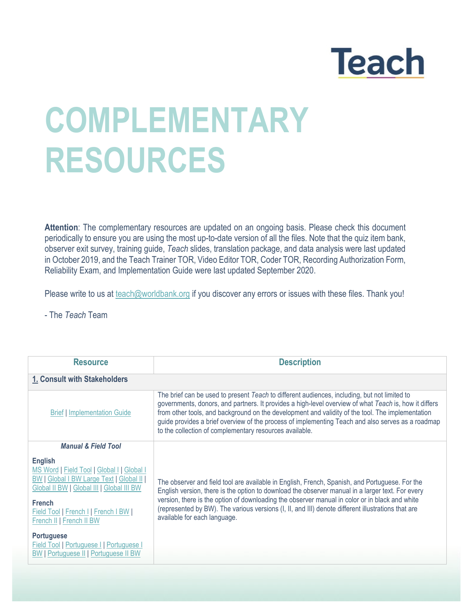## **Teach**

## **COMPLEMENTARY RESOURCES**

**Attention**: The complementary resources are updated on an ongoing basis. Please check this document periodically to ensure you are using the most up-to-date version of all the files. Note that the quiz item bank, observer exit survey, training guide, *Teach* slides, translation package, and data analysis were last updated in October 2019, and the Teach Trainer TOR, Video Editor TOR, Coder TOR, Recording Authorization Form, Reliability Exam, and Implementation Guide were last updated September 2020.

Please write to us at [teach@worldbank.org](mailto:teach@worldbank.org) if you discover any errors or issues with these files. Thank you!

- The *Teach* Team

| <b>Resource</b>                                                                                                                                                                                                                                   | <b>Description</b>                                                                                                                                                                                                                                                                                                                                                                                                                                                        |
|---------------------------------------------------------------------------------------------------------------------------------------------------------------------------------------------------------------------------------------------------|---------------------------------------------------------------------------------------------------------------------------------------------------------------------------------------------------------------------------------------------------------------------------------------------------------------------------------------------------------------------------------------------------------------------------------------------------------------------------|
| 1. Consult with Stakeholders                                                                                                                                                                                                                      |                                                                                                                                                                                                                                                                                                                                                                                                                                                                           |
| <b>Brief   Implementation Guide</b>                                                                                                                                                                                                               | The brief can be used to present Teach to different audiences, including, but not limited to<br>governments, donors, and partners. It provides a high-level overview of what Teach is, how it differs<br>from other tools, and background on the development and validity of the tool. The implementation<br>guide provides a brief overview of the process of implementing Teach and also serves as a roadmap<br>to the collection of complementary resources available. |
| <b>Manual &amp; Field Tool</b>                                                                                                                                                                                                                    |                                                                                                                                                                                                                                                                                                                                                                                                                                                                           |
| <b>English</b><br>MS Word   Field Tool   Global I   Global I<br><b>BW   Global I BW Large Text   Global II</b><br>Global II BW   Global III   Global III BW<br>French<br><b>Field Tool   French     French   BW  </b><br>French II   French II BW | The observer and field tool are available in English, French, Spanish, and Portuguese. For the<br>English version, there is the option to download the observer manual in a larger text. For every<br>version, there is the option of downloading the observer manual in color or in black and white<br>(represented by BW). The various versions (I, II, and III) denote different illustrations that are<br>available for each language.                                |
| <b>Portuguese</b><br><b>Field Tool   Portuguese     Portuguese  </b><br><b>BW   Portuguese II   Portuguese II BW</b>                                                                                                                              |                                                                                                                                                                                                                                                                                                                                                                                                                                                                           |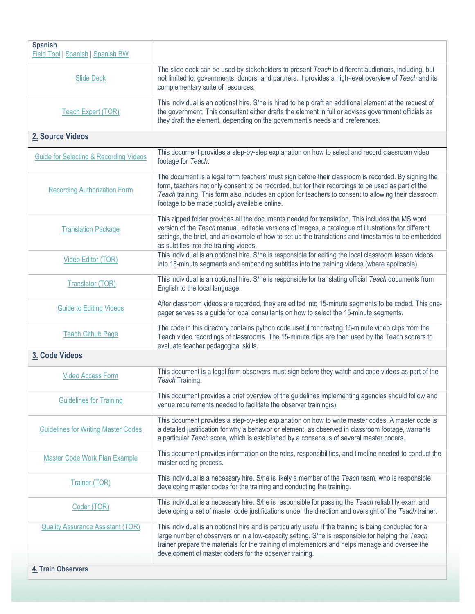| <b>Spanish</b><br><b>Field Tool   Spanish   Spanish BW</b> |                                                                                                                                                                                                                                                                                                                                                                            |
|------------------------------------------------------------|----------------------------------------------------------------------------------------------------------------------------------------------------------------------------------------------------------------------------------------------------------------------------------------------------------------------------------------------------------------------------|
| <b>Slide Deck</b>                                          | The slide deck can be used by stakeholders to present Teach to different audiences, including, but<br>not limited to: governments, donors, and partners. It provides a high-level overview of Teach and its<br>complementary suite of resources.                                                                                                                           |
| <b>Teach Expert (TOR)</b>                                  | This individual is an optional hire. S/he is hired to help draft an additional element at the request of<br>the government. This consultant either drafts the element in full or advises government officials as<br>they draft the element, depending on the government's needs and preferences.                                                                           |
| 2. Source Videos                                           |                                                                                                                                                                                                                                                                                                                                                                            |
| <b>Guide for Selecting &amp; Recording Videos</b>          | This document provides a step-by-step explanation on how to select and record classroom video<br>footage for Teach.                                                                                                                                                                                                                                                        |
| <b>Recording Authorization Form</b>                        | The document is a legal form teachers' must sign before their classroom is recorded. By signing the<br>form, teachers not only consent to be recorded, but for their recordings to be used as part of the<br>Teach training. This form also includes an option for teachers to consent to allowing their classroom<br>footage to be made publicly available online.        |
| <b>Translation Package</b>                                 | This zipped folder provides all the documents needed for translation. This includes the MS word<br>version of the Teach manual, editable versions of images, a catalogue of illustrations for different<br>settings, the brief, and an example of how to set up the translations and timestamps to be embedded<br>as subtitles into the training videos.                   |
| Video Editor (TOR)                                         | This individual is an optional hire. S/he is responsible for editing the local classroom lesson videos<br>into 15-minute segments and embedding subtitles into the training videos (where applicable).                                                                                                                                                                     |
| <b>Translator (TOR)</b>                                    | This individual is an optional hire. S/he is responsible for translating official Teach documents from<br>English to the local language.                                                                                                                                                                                                                                   |
| <b>Guide to Editing Videos</b>                             | After classroom videos are recorded, they are edited into 15-minute segments to be coded. This one-<br>pager serves as a guide for local consultants on how to select the 15-minute segments.                                                                                                                                                                              |
| <b>Teach Github Page</b>                                   | The code in this directory contains python code useful for creating 15-minute video clips from the<br>Teach video recordings of classrooms. The 15-minute clips are then used by the Teach scorers to<br>evaluate teacher pedagogical skills.                                                                                                                              |
| 3. Code Videos                                             |                                                                                                                                                                                                                                                                                                                                                                            |
| <b>Video Access Form</b>                                   | This document is a legal form observers must sign before they watch and code videos as part of the<br>Teach Training.                                                                                                                                                                                                                                                      |
| <b>Guidelines for Training</b>                             | This document provides a brief overview of the guidelines implementing agencies should follow and<br>venue requirements needed to facilitate the observer training(s).                                                                                                                                                                                                     |
| <b>Guidelines for Writing Master Codes</b>                 | This document provides a step-by-step explanation on how to write master codes. A master code is<br>a detailed justification for why a behavior or element, as observed in classroom footage, warrants<br>a particular Teach score, which is established by a consensus of several master coders.                                                                          |
| <b>Master Code Work Plan Example</b>                       | This document provides information on the roles, responsibilities, and timeline needed to conduct the<br>master coding process.                                                                                                                                                                                                                                            |
| <b>Trainer (TOR)</b>                                       | This individual is a necessary hire. S/he is likely a member of the Teach team, who is responsible<br>developing master codes for the training and conducting the training.                                                                                                                                                                                                |
| Coder (TOR)                                                | This individual is a necessary hire. S/he is responsible for passing the Teach reliability exam and<br>developing a set of master code justifications under the direction and oversight of the Teach trainer.                                                                                                                                                              |
| <b>Quality Assurance Assistant (TOR)</b>                   | This individual is an optional hire and is particularly useful if the training is being conducted for a<br>large number of observers or in a low-capacity setting. S/he is responsible for helping the Teach<br>trainer prepare the materials for the training of implementors and helps manage and oversee the<br>development of master coders for the observer training. |
| 4. Train Observers                                         |                                                                                                                                                                                                                                                                                                                                                                            |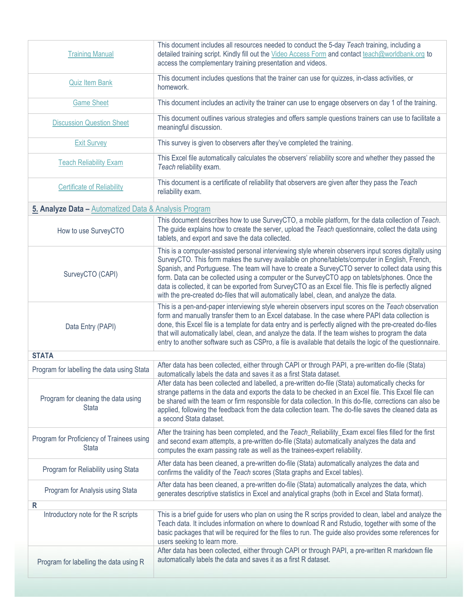| <b>Training Manual</b>                                    | This document includes all resources needed to conduct the 5-day Teach training, including a<br>detailed training script. Kindly fill out the Video Access Form and contact teach@worldbank.org to<br>access the complementary training presentation and videos.                                                                                                                                                                                                                                                                                                                                                      |
|-----------------------------------------------------------|-----------------------------------------------------------------------------------------------------------------------------------------------------------------------------------------------------------------------------------------------------------------------------------------------------------------------------------------------------------------------------------------------------------------------------------------------------------------------------------------------------------------------------------------------------------------------------------------------------------------------|
| <b>Quiz Item Bank</b>                                     | This document includes questions that the trainer can use for quizzes, in-class activities, or<br>homework.                                                                                                                                                                                                                                                                                                                                                                                                                                                                                                           |
| <b>Game Sheet</b>                                         | This document includes an activity the trainer can use to engage observers on day 1 of the training.                                                                                                                                                                                                                                                                                                                                                                                                                                                                                                                  |
| <b>Discussion Question Sheet</b>                          | This document outlines various strategies and offers sample questions trainers can use to facilitate a<br>meaningful discussion.                                                                                                                                                                                                                                                                                                                                                                                                                                                                                      |
| <b>Exit Survey</b>                                        | This survey is given to observers after they've completed the training.                                                                                                                                                                                                                                                                                                                                                                                                                                                                                                                                               |
| <b>Teach Reliability Exam</b>                             | This Excel file automatically calculates the observers' reliability score and whether they passed the<br>Teach reliability exam.                                                                                                                                                                                                                                                                                                                                                                                                                                                                                      |
| <b>Certificate of Reliability</b>                         | This document is a certificate of reliability that observers are given after they pass the Teach<br>reliability exam.                                                                                                                                                                                                                                                                                                                                                                                                                                                                                                 |
| 5. Analyze Data - Automatized Data & Analysis Program     |                                                                                                                                                                                                                                                                                                                                                                                                                                                                                                                                                                                                                       |
| How to use SurveyCTO                                      | This document describes how to use SurveyCTO, a mobile platform, for the data collection of Teach.<br>The guide explains how to create the server, upload the Teach questionnaire, collect the data using<br>tablets, and export and save the data collected.                                                                                                                                                                                                                                                                                                                                                         |
| SurveyCTO (CAPI)                                          | This is a computer-assisted personal interviewing style wherein observers input scores digitally using<br>SurveyCTO. This form makes the survey available on phone/tablets/computer in English, French,<br>Spanish, and Portuguese. The team will have to create a SurveyCTO server to collect data using this<br>form. Data can be collected using a computer or the SurveyCTO app on tablets/phones. Once the<br>data is collected, it can be exported from SurveyCTO as an Excel file. This file is perfectly aligned<br>with the pre-created do-files that will automatically label, clean, and analyze the data. |
| Data Entry (PAPI)                                         | This is a pen-and-paper interviewing style wherein observers input scores on the Teach observation<br>form and manually transfer them to an Excel database. In the case where PAPI data collection is<br>done, this Excel file is a template for data entry and is perfectly aligned with the pre-created do-files<br>that will automatically label, clean, and analyze the data. If the team wishes to program the data<br>entry to another software such as CSPro, a file is available that details the logic of the questionnaire.                                                                                 |
| <b>STATA</b>                                              | After data has been collected, either through CAPI or through PAPI, a pre-written do-file (Stata)                                                                                                                                                                                                                                                                                                                                                                                                                                                                                                                     |
| Program for labelling the data using Stata                | automatically labels the data and saves it as a first Stata dataset.                                                                                                                                                                                                                                                                                                                                                                                                                                                                                                                                                  |
| Program for cleaning the data using<br><b>Stata</b>       | After data has been collected and labelled, a pre-written do-file (Stata) automatically checks for<br>strange patterns in the data and exports the data to be checked in an Excel file. This Excel file can<br>be shared with the team or firm responsible for data collection. In this do-file, corrections can also be<br>applied, following the feedback from the data collection team. The do-file saves the cleaned data as<br>a second Stata dataset.                                                                                                                                                           |
| Program for Proficiency of Trainees using<br><b>Stata</b> | After the training has been completed, and the Teach_Reliability_Exam excel files filled for the first<br>and second exam attempts, a pre-written do-file (Stata) automatically analyzes the data and<br>computes the exam passing rate as well as the trainees-expert reliability.                                                                                                                                                                                                                                                                                                                                   |
| Program for Reliability using Stata                       | After data has been cleaned, a pre-written do-file (Stata) automatically analyzes the data and<br>confirms the validity of the Teach scores (Stata graphs and Excel tables).                                                                                                                                                                                                                                                                                                                                                                                                                                          |
| Program for Analysis using Stata                          | After data has been cleaned, a pre-written do-file (Stata) automatically analyzes the data, which<br>generates descriptive statistics in Excel and analytical graphs (both in Excel and Stata format).                                                                                                                                                                                                                                                                                                                                                                                                                |
| $\mathsf{R}$<br>Introductory note for the R scripts       | This is a brief guide for users who plan on using the R scrips provided to clean, label and analyze the<br>Teach data. It includes information on where to download R and Rstudio, together with some of the<br>basic packages that will be required for the files to run. The guide also provides some references for<br>users seeking to learn more.                                                                                                                                                                                                                                                                |
| Program for labelling the data using R                    | After data has been collected, either through CAPI or through PAPI, a pre-written R markdown file<br>automatically labels the data and saves it as a first R dataset.                                                                                                                                                                                                                                                                                                                                                                                                                                                 |